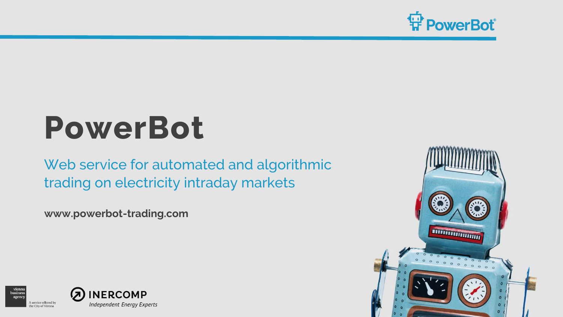

# **PowerBot**

Web service for automated and algorithmic trading on electricity intraday markets

**www.powerbot-trading.com**



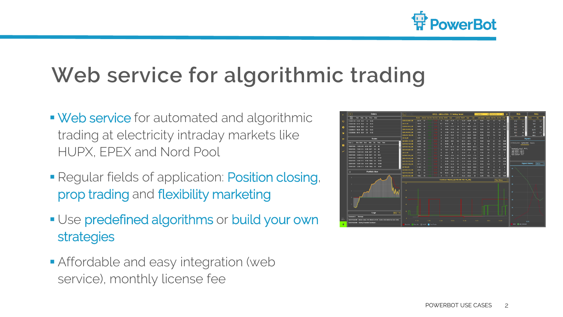

### **Web service for algorithmic trading**

- Web service for automated and algorithmic trading at electricity intraday markets like HUPX, EPEX and Nord Pool
- **Regular fields of application: Position closing,** prop trading and flexibility marketing
- **Use predefined algorithms or build your own** strategies
- **Affordable and easy integration (web** service), monthly license fee

| $\rightarrow$            | $\overline{\phantom{0}}$<br><b>Orders</b>                                             | n.                          |              |                          |                                              | EPEX - SIMULATION - T2 Testing Tenant |       |                                      |              |                       |                  | <b>T2 Pontolio 2</b><br><b>SOVAT-APG-4</b><br>$\sim$ |             |                     |                          |                             | Bids         | <b>Asks</b> |                                                                    |     |                       |                 |  |
|--------------------------|---------------------------------------------------------------------------------------|-----------------------------|--------------|--------------------------|----------------------------------------------|---------------------------------------|-------|--------------------------------------|--------------|-----------------------|------------------|------------------------------------------------------|-------------|---------------------|--------------------------|-----------------------------|--------------|-------------|--------------------------------------------------------------------|-----|-----------------------|-----------------|--|
|                          | KX7<br>End Side City Price Note<br><b>Red</b>                                         |                             |              |                          | BWWA Bid Ob Sext Sid Best Ask Jak Ohr Jamma, |                                       |       |                                      | Led.         |                       | List Ob WAP High |                                                      | Low.        | <b>Lugit Update</b> |                          | Volume Net Pos. My Vol. OTR |              |             | <b>Trice</b><br>œ.                                                 |     | Price:                | CH <sub>1</sub> |  |
| O                        | 13,000 01:35 01:45 BLY 1.4<br>89.00                                                   | Q10.45.2000 XB              | 25.79        | o                        |                                              |                                       | л     | 77.36                                | 32.39        |                       | 55.24            | 66.94                                                | 37.70       | 11:43               | 15.1                     | $\overline{1}$              | 47           |             | 27.8                                                               | 2.9 | 31.9                  | 07              |  |
|                          | 13.0001.00 01:15 BLY 1.8<br>55.23                                                     | 20-21-325                   | 19.44        |                          |                                              |                                       | 0.1   | <b>AS 32</b>                         |              |                       | 35.29            | ь                                                    | œ           | 12.13               | m                        |                             | ٠            | r.          | 26.5                                                               | 12  | 34.6                  |                 |  |
| o                        | 13.00.00.38 00.45 00.01 2.4<br>77.54                                                  | 0200032019-325              | 33.53        | $\overline{\phantom{a}}$ |                                              |                                       |       | 22.53                                | 32.50        |                       | 54.33            | 05.42                                                | <b>STAT</b> | 12.23               | 73.5                     |                             |              | 0.87        | 25.1                                                               | п   | <b>AT</b>             | 58              |  |
|                          | 13.09.06:15 00:30 BUY 0.2 93.23                                                       | 020115-20120_325            | 34.35        | ٠                        |                                              |                                       |       | <b>IN ANY</b>                        | <b>LAB A</b> | <b>D</b>              | 35.23            | 85.2                                                 | 61.32       | 18.32               | 27                       | <b>B3</b>                   | 6.7          | 0.8         | 21.2                                                               | Б   | 53.71                 | в               |  |
| 億                        | 13,000,000 00:15 BLV 3.6 81.02                                                        | 020120-20145-325            | 39.56        | $\mathbf{m}$             |                                              |                                       | n     | 73.04                                | 58.75        | n                     | 71.45            | T2.03                                                | 59.76       | 18.50               | 18.4                     | 54                          | 54           | к           | 95.1                                                               | т   | 00.1                  | 0.1             |  |
|                          |                                                                                       | 020-45-21:00 XB             | 95.5         | $^{23}$                  |                                              |                                       | п     | 65.25                                | 79.57        | 0.7                   | 79.57            | 79.97                                                | 74.97       | 15:55               | 10.5                     | <b>DO</b>                   | 54           | г           | 9.1                                                                | п.  | 110.5                 |                 |  |
| $\equiv$                 | <b>Trades</b>                                                                         | 21-22 XB                    | 14.51        | 23                       |                                              |                                       | л     | 48.49                                | 14.50        | ٠                     | \$4.50           | 14.91                                                | 54.91       | 15:43               | $\overline{\phantom{a}}$ |                             | ٠            | п           |                                                                    |     | <b>Signals</b>        |                 |  |
|                          | Exec & Divry Start End Side Ony Price Note                                            | 021:00-21:15 XB             | 28.49        | ×                        |                                              |                                       | п     | 61.34                                | <b>ANT</b>   | 02                    | 80.15            | 47.5                                                 | 77.5        | 15:50               | 10.5                     | 37                          | 57           | 0.05        |                                                                    |     |                       |                 |  |
| E                        |                                                                                       | 021:15.21:30 XX             | 14.28        | $\overline{\phantom{a}}$ |                                              |                                       | п     | 84,697                               | m            |                       | 65.05            | 04.77                                                | 20          | 11:12               | 14                       | 52                          | 52           | 0.55        | ETRIMSystem OptSystem display                                      |     |                       |                 |  |
|                          | 11.00 10:50 11.00 23:00 23:15 BUY 0.1 42                                              | 021:30-21:45 XII            | 32.55        | $\overline{\mathbf{z}}$  |                                              |                                       |       | 58.44                                | 13.97        | <b>DR</b>             | E03.22           | 99.95                                                | 65.74       | 15:50               | 10.1                     | 5.1                         | 5.1          | 0.55        |                                                                    |     |                       |                 |  |
| $\overline{\phantom{a}}$ | 11.00 10:50 11.00 22:15 22:30 BUY<br>$\circ$<br>$\overline{48}$                       | G21:45-22:00_XII            | 20.33        | $\mathbf{z}$             |                                              |                                       |       | $\alpha$                             | 48.72        | $\alpha$              | 63.65            | 23.45                                                | 49.72       | 15:33               | 10.2                     | 5.1                         | 5.1          | <b>DES</b>  | "merginal price": 45.0,<br>"Gay_ahoad": 41.0,<br>was price"; 65.4. |     |                       |                 |  |
|                          | 11.00 10:50 11.00 23:30 23:45 BUY<br>$-0.1$<br>$^{36}$                                | 22-23_333                   | 25.33        | ٠                        |                                              |                                       | п     | 53.4                                 | Ð            |                       | 36.27            | m                                                    | 35          | 11:33               | 25                       | п                           | ۰            | г           | "min_price": 39.6.<br>"men_spread": 9.3                            |     |                       |                 |  |
|                          | 11.00 10:50 12:00 01:15 01:30 BUY 0.3 612                                             | 122100.22115.333            | 11.11        | $\overline{u}$           |                                              |                                       | m     | 59.03                                | 724          | 02                    | \$5.32           | 87.17                                                | 77.4        | 16:58               | 10.2                     | 52                          | 62           |             |                                                                    |     |                       |                 |  |
|                          | 11.09.10.59 12.09.00:45 09:00 SELL 0.1 11.52                                          | 022152210.XR                | 35.01        | m                        |                                              |                                       |       | 20.97                                | 67.29        | $\sim$                | 63.28            | 74.8                                                 | 57.29       | 15.54               | 18.1                     | 5.21                        | 63           | 6.58        |                                                                    |     |                       |                 |  |
|                          | 11.09.10.59 12.09.12:15 12:30 SELL 0.1<br>35.03                                       | 022130.22145.309            | 18.71        | $\bullet$                |                                              |                                       |       | <b>COLOR</b>                         | <b>COLOR</b> | $\sim$                | 9.57             | 63.24                                                | 53.24       | 15.54               | 10                       | 64                          | 64           | 0.55        |                                                                    |     |                       |                 |  |
|                          | 11.09.10.59 12.00.13.00 12.15 SELL 0.1<br>10.58                                       | 022:45.23:00 XR             | 28.75        | г                        |                                              |                                       |       | 85.05                                | 54.59        | 0.5                   | 47.86            | 55.02                                                | 45.02       | 15.59               | 18.9                     |                             | ٠            | 0.89        |                                                                    |     | <b>Signal History</b> | <b>Vidum</b>    |  |
|                          | 11.09.10.59 12.09.13:15 13:30 SELL 0.1 10.02                                          | <b>BX.00145</b>             | 31.09        | 21                       |                                              |                                       |       | ा १७                                 | 38.23        |                       | 38.23            | 36.23                                                | 36.23       | 12:15               | $\overline{16}$          |                             | ٠            | г           |                                                                    |     |                       |                 |  |
|                          | $\mathbf{G}$<br><b>Portfolio View</b>                                                 | 020100-23:55 309            | <b>56.63</b> | m                        |                                              |                                       |       | 57.55                                | 35 CT        | <b>O</b> <sub>2</sub> | <b>S&amp; 83</b> | 70.56                                                | 45.4        | 16:58               | 55.2                     | 65                          | A6           |             |                                                                    |     |                       |                 |  |
|                          |                                                                                       | Q23:15.23:30 XB             | $^{56}$      | $\overline{a}$           |                                              |                                       | п     | 85.50                                | <b>FRE</b>   | 0.5                   | 74.74            | 81.85                                                | 68.6        | 16:33               | 12                       | 67                          | 67           | 0.8         |                                                                    |     |                       |                 |  |
|                          | $\sim$                                                                                | 021:10-21:45 103            | 19.82        | 19                       |                                              |                                       | п     | 77.7                                 | œ            |                       | 45.42            | 69.32                                                | $^{39}$     | 12:06               | 18.2                     | 62                          | 62           | 0.88        |                                                                    |     |                       |                 |  |
|                          |                                                                                       |                             |              |                          |                                              |                                       |       | Contract History [QT03:00-T03:16_XB] |              |                       |                  |                                                      |             |                     |                          |                             | Price Holory |             |                                                                    |     |                       |                 |  |
|                          |                                                                                       | 100                         |              |                          |                                              |                                       |       |                                      |              |                       |                  |                                                      |             |                     |                          |                             |              |             | 44                                                                 |     |                       |                 |  |
|                          |                                                                                       |                             |              |                          |                                              |                                       |       |                                      |              |                       |                  |                                                      |             |                     |                          |                             |              |             |                                                                    |     |                       |                 |  |
|                          |                                                                                       | CO <sup>2</sup>             |              |                          |                                              |                                       |       |                                      |              |                       |                  |                                                      |             |                     |                          |                             |              |             |                                                                    |     |                       |                 |  |
|                          | ٠                                                                                     |                             |              |                          |                                              |                                       |       |                                      |              |                       |                  |                                                      |             |                     |                          |                             |              |             | $\overline{a}$                                                     |     |                       |                 |  |
|                          |                                                                                       |                             |              |                          |                                              |                                       |       |                                      |              |                       |                  |                                                      |             |                     |                          |                             |              |             |                                                                    |     |                       |                 |  |
|                          |                                                                                       | 80                          |              |                          |                                              |                                       |       |                                      |              |                       |                  |                                                      |             |                     |                          |                             |              |             |                                                                    |     |                       |                 |  |
|                          |                                                                                       |                             |              |                          |                                              |                                       |       |                                      |              |                       |                  |                                                      |             |                     |                          |                             |              |             | m                                                                  |     |                       |                 |  |
|                          |                                                                                       | an.                         |              |                          |                                              |                                       |       |                                      |              |                       |                  |                                                      |             |                     |                          |                             |              |             |                                                                    |     |                       |                 |  |
|                          |                                                                                       |                             |              |                          |                                              |                                       |       |                                      |              |                       |                  |                                                      |             |                     |                          |                             |              |             | м                                                                  |     |                       |                 |  |
|                          |                                                                                       |                             |              |                          |                                              |                                       |       |                                      |              |                       |                  |                                                      |             |                     |                          |                             |              |             |                                                                    |     |                       |                 |  |
|                          | Logs<br><b>URG Y</b>                                                                  | $20 -$                      |              |                          |                                              |                                       |       |                                      |              |                       |                  |                                                      |             |                     |                          |                             |              |             |                                                                    |     |                       |                 |  |
|                          | Received At Mensies                                                                   |                             |              |                          |                                              |                                       |       |                                      |              |                       |                  |                                                      |             |                     |                          |                             |              |             |                                                                    |     |                       |                 |  |
| EETA                     | 12.09 16:20:00 Market status: OK, Market to ACTI, System internation has been retrie. |                             | 11:33        |                          | 1206                                         |                                       | 12:48 |                                      | 1313         |                       | 13:45            |                                                      | 1423        |                     | 14:53                    |                             | 1639         |             |                                                                    |     |                       |                 |  |
|                          | 12.00 16:28:00 Stating Powerbot Deshboard                                             |                             |              |                          |                                              |                                       |       |                                      |              |                       |                  |                                                      |             |                     |                          |                             |              |             |                                                                    |     | 95.55                 |                 |  |
| ٠                        |                                                                                       | destas. destas WWP contrade |              |                          |                                              |                                       |       |                                      |              |                       |                  |                                                      |             |                     |                          |                             |              |             | wind <b>E</b> apt_forecast                                         |     |                       |                 |  |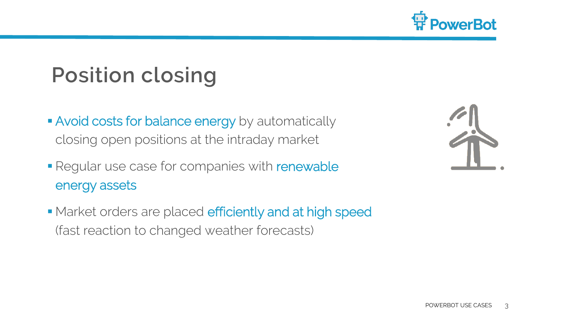

# **Position closing**

- **Avoid costs for balance energy** by automatically closing open positions at the intraday market
- Regular use case for companies with renewable energy assets

• Market orders are placed efficiently and at high speed (fast reaction to changed weather forecasts)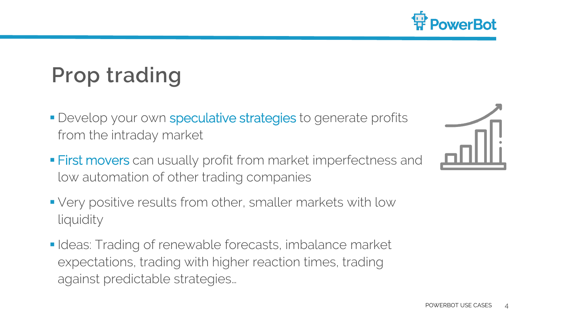

# **Prop trading**

- **Develop your own speculative strategies to generate profits** from the intraday market
- **First movers** can usually profit from market imperfectness and low automation of other trading companies
- Very positive results from other, smaller markets with low liquidity
- I I I deas: Trading of renewable forecasts, imbalance market expectations, trading with higher reaction times, trading against predictable strategies…

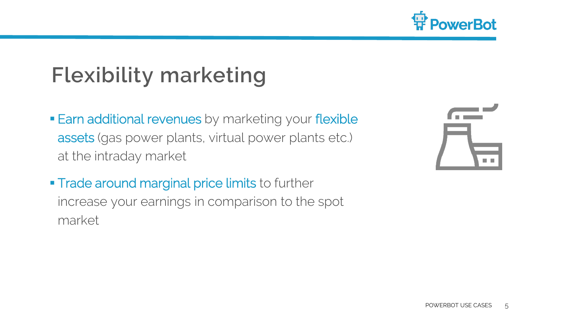

## **Flexibility marketing**

- **Earn additional revenues** by marketing your flexible assets (gas power plants, virtual power plants etc.) at the intraday market
- **Trade around marginal price limits to further** increase your earnings in comparison to the spot market

| $\blacksquare$ | $\mathbb{R}^{\mathbb{Z}}$   |
|----------------|-----------------------------|
|                |                             |
|                | $\mathcal{L}_{\mathcal{A}}$ |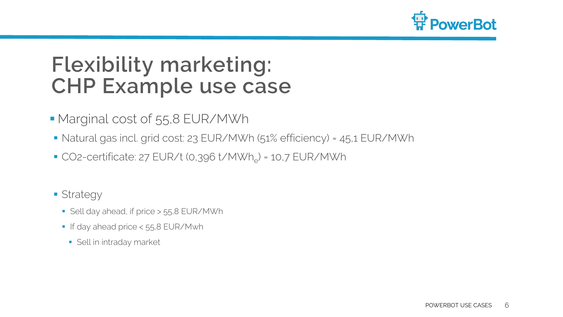

#### **Flexibility marketing: CHP Example use case**

- Marginal cost of 55,8 EUR/MWh
- Natural gas incl. grid cost: 23 EUR/MWh (51% efficiency) = 45,1 EUR/MWh
- $\blacksquare$  CO2-certificate: 27 EUR/t (0,396 t/MWh<sub>e</sub>) = 10,7 EUR/MWh
- **Strategy** 
	- Sell day ahead, if price > 55,8 EUR/MWh
	- If day ahead price < 55,8 EUR/Mwh
		- **Sell in intraday market**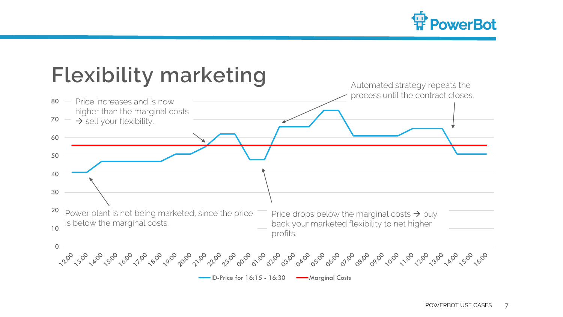